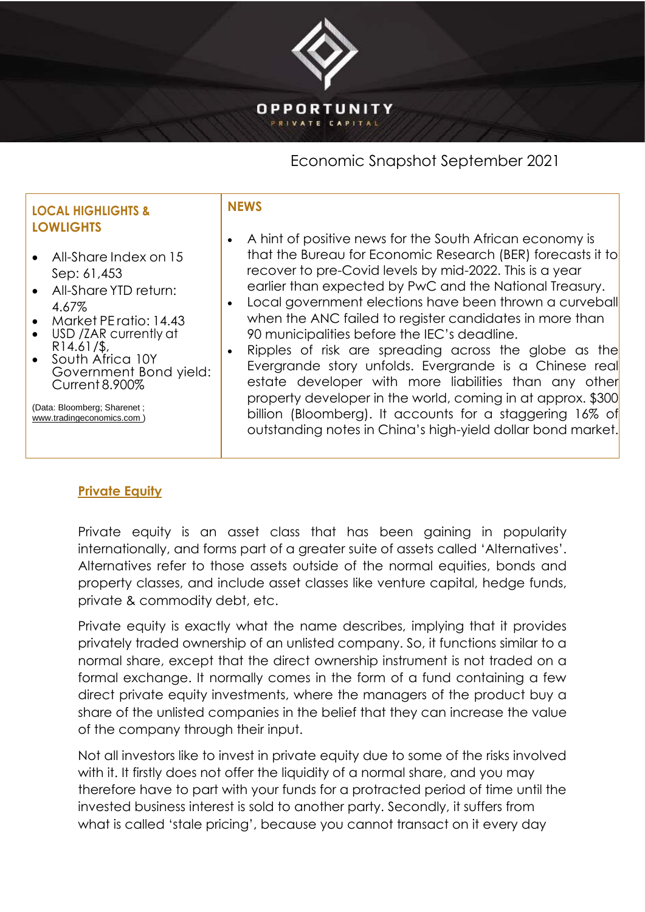### **OPPORTUNITY** PRIVATE CAPITAL

## Economic Snapshot September 2021

#### **LOCAL HIGHLIGHTS & LOWLIGHTS** • All-Share Index on 15 Sep: 61,453 • All-Share YTD return: 4.67% • Market PE ratio: 14.43 • USD /ZAR currently at R14.61/\$, • South Africa 10Y Government Bond yield: Current 8.900% (Data: Bloomberg; Sharenet ; [www.tradingeconomics.com \)](http://www.tradingeconomics.com/) **NEWS** • A hint of positive news for the South African economy is that the Bureau for Economic Research (BER) forecasts it to recover to pre-Covid levels by mid-2022. This is a year earlier than expected by PwC and the National Treasury. • Local government elections have been thrown a curveball when the ANC failed to reaister candidates in more than 90 municipalities before the IEC's deadline. • Ripples of risk are spreading across the globe as the Evergrande story unfolds. Evergrande is a Chinese real estate developer with more liabilities than any other property developer in the world, coming in at approx. \$300 billion (Bloomberg). It accounts for a staggering 16% of outstanding notes in China's high-yield dollar bond market.

# **Private Equity**

Private equity is an asset class that has been gaining in popularity internationally, and forms part of a greater suite of assets called 'Alternatives'. Alternatives refer to those assets outside of the normal equities, bonds and property classes, and include asset classes like venture capital, hedge funds, private & commodity debt, etc.

Private equity is exactly what the name describes, implying that it provides privately traded ownership of an unlisted company. So, it functions similar to a normal share, except that the direct ownership instrument is not traded on a formal exchange. It normally comes in the form of a fund containing a few direct private equity investments, where the managers of the product buy a share of the unlisted companies in the belief that they can increase the value of the company through their input.

Not all investors like to invest in private equity due to some of the risks involved with it. It firstly does not offer the liquidity of a normal share, and you may therefore have to part with your funds for a protracted period of time until the invested business interest is sold to another party. Secondly, it suffers from what is called 'stale pricing', because you cannot transact on it every day